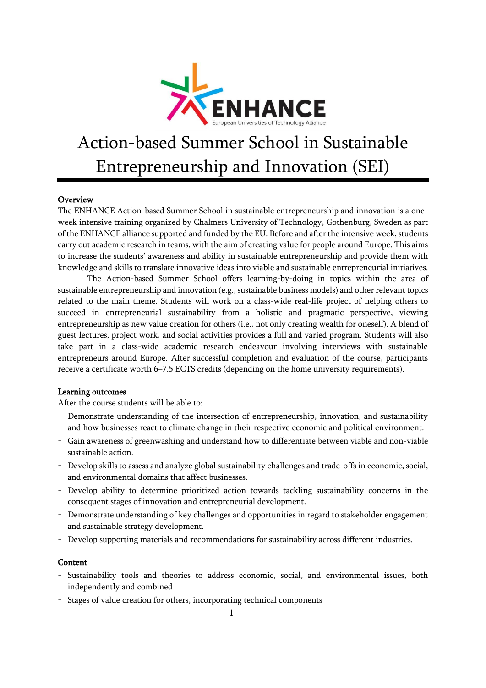

# Action-based Summer School in Sustainable Entrepreneurship and Innovation (SEI)

### Overview

The ENHANCE Action-based Summer School in sustainable entrepreneurship and innovation is a oneweek intensive training organized by Chalmers University of Technology, Gothenburg, Sweden as part of the ENHANCE alliance supported and funded by the EU. Before and after the intensive week, students carry out academic research in teams, with the aim of creating value for people around Europe. This aims to increase the students' awareness and ability in sustainable entrepreneurship and provide them with knowledge and skills to translate innovative ideas into viable and sustainable entrepreneurial initiatives.

The Action-based Summer School offers learning-by-doing in topics within the area of sustainable entrepreneurship and innovation (e.g., sustainable business models) and other relevant topics related to the main theme. Students will work on a class-wide real-life project of helping others to succeed in entrepreneurial sustainability from a holistic and pragmatic perspective, viewing entrepreneurship as new value creation for others (i.e., not only creating wealth for oneself). A blend of guest lectures, project work, and social activities provides a full and varied program. Students will also take part in a class-wide academic research endeavour involving interviews with sustainable entrepreneurs around Europe. After successful completion and evaluation of the course, participants receive a certificate worth 6–7.5 ECTS credits (depending on the home university requirements).

### Learning outcomes

After the course students will be able to:

- Demonstrate understanding of the intersection of entrepreneurship, innovation, and sustainability and how businesses react to climate change in their respective economic and political environment.
- Gain awareness of greenwashing and understand how to differentiate between viable and non-viable sustainable action.
- Develop skills to assess and analyze global sustainability challenges and trade-offs in economic, social, and environmental domains that affect businesses.
- Develop ability to determine prioritized action towards tackling sustainability concerns in the consequent stages of innovation and entrepreneurial development.
- Demonstrate understanding of key challenges and opportunities in regard to stakeholder engagement and sustainable strategy development.
- Develop supporting materials and recommendations for sustainability across different industries.

#### **Content**

- Sustainability tools and theories to address economic, social, and environmental issues, both independently and combined
- Stages of value creation for others, incorporating technical components